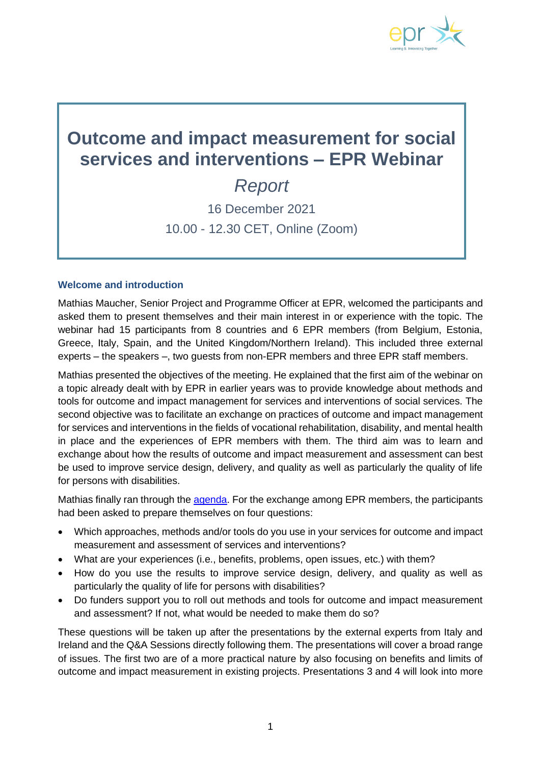

# **Outcome and impact measurement for social services and interventions – EPR Webinar**

## *Report* 16 December 2021 10.00 - 12.30 CET, Online (Zoom)

## **Welcome and introduction**

Mathias Maucher, Senior Project and Programme Officer at EPR, welcomed the participants and asked them to present themselves and their main interest in or experience with the topic. The webinar had 15 participants from 8 countries and 6 EPR members (from Belgium, Estonia, Greece, Italy, Spain, and the United Kingdom/Northern Ireland). This included three external experts – the speakers –, two guests from non-EPR members and three EPR staff members.

Mathias presented the objectives of the meeting. He explained that the first aim of the webinar on a topic already dealt with by EPR in earlier years was to provide knowledge about methods and tools for outcome and impact management for services and interventions of social services. The second objective was to facilitate an exchange on practices of outcome and impact management for services and interventions in the fields of vocational rehabilitation, disability, and mental health in place and the experiences of EPR members with them. The third aim was to learn and exchange about how the results of outcome and impact measurement and assessment can best be used to improve service design, delivery, and quality as well as particularly the quality of life for persons with disabilities.

Mathias finally ran through the [agenda.](https://www.epr.eu/wp-content/uploads/Seminar-OutcomeImpact-Measurement-ServicesInterventions-16.12.21-Agenda.pdf) For the exchange among EPR members, the participants had been asked to prepare themselves on four questions:

- Which approaches, methods and/or tools do you use in your services for outcome and impact measurement and assessment of services and interventions?
- What are your experiences (i.e., benefits, problems, open issues, etc.) with them?
- How do you use the results to improve service design, delivery, and quality as well as particularly the quality of life for persons with disabilities?
- Do funders support you to roll out methods and tools for outcome and impact measurement and assessment? If not, what would be needed to make them do so?

These questions will be taken up after the presentations by the external experts from Italy and Ireland and the Q&A Sessions directly following them. The presentations will cover a broad range of issues. The first two are of a more practical nature by also focusing on benefits and limits of outcome and impact measurement in existing projects. Presentations 3 and 4 will look into more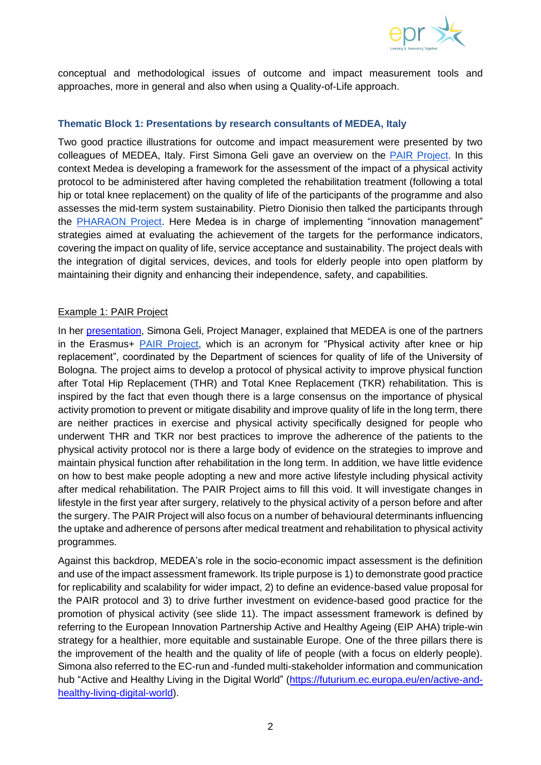

conceptual and methodological issues of outcome and impact measurement tools and approaches, more in general and also when using a Quality-of-Life approach.

#### **Thematic Block 1: Presentations by research consultants of MEDEA, Italy**

Two good practice illustrations for outcome and impact measurement were presented by two colleagues of MEDEA, Italy. First Simona Geli gave an overview on the [PAIR Project.](https://site.unibo.it/pair/en/project) In this context Medea is developing a framework for the assessment of the impact of a physical activity protocol to be administered after having completed the rehabilitation treatment (following a total hip or total knee replacement) on the quality of life of the participants of the programme and also assesses the mid-term system sustainability. Pietro Dionisio then talked the participants through the [PHARAON Project.](https://www.pharaon.eu/) Here Medea is in charge of implementing "innovation management" strategies aimed at evaluating the achievement of the targets for the performance indicators, covering the impact on quality of life, service acceptance and sustainability. The project deals with the integration of digital services, devices, and tools for elderly people into open platform by maintaining their dignity and enhancing their independence, safety, and capabilities.

#### Example 1: PAIR Project

In her [presentation,](https://www.epr.eu/wp-content/uploads/Webinar-OutcomeImpact-Measurement-ServicesInterventions-16.12.21-Presentations-Medea-SGPD.pdf) Simona Geli, Project Manager, explained that MEDEA is one of the partners in the Erasmus+ [PAIR](https://site.unibo.it/pair/en/project) Project, which is an acronym for "Physical activity after knee or hip replacement", coordinated by the Department of sciences for quality of life of the University of Bologna. The project aims to develop a protocol of physical activity to improve physical function after Total Hip Replacement (THR) and Total Knee Replacement (TKR) rehabilitation. This is inspired by the fact that even though there is a large consensus on the importance of physical activity promotion to prevent or mitigate disability and improve quality of life in the long term, there are neither practices in exercise and physical activity specifically designed for people who underwent THR and TKR nor best practices to improve the adherence of the patients to the physical activity protocol nor is there a large body of evidence on the strategies to improve and maintain physical function after rehabilitation in the long term. In addition, we have little evidence on how to best make people adopting a new and more active lifestyle including physical activity after medical rehabilitation. The PAIR Project aims to fill this void. It will investigate changes in lifestyle in the first year after surgery, relatively to the physical activity of a person before and after the surgery. The PAIR Project will also focus on a number of behavioural determinants influencing the uptake and adherence of persons after medical treatment and rehabilitation to physical activity programmes.

Against this backdrop, MEDEA's role in the socio-economic impact assessment is the definition and use of the impact assessment framework. Its triple purpose is 1) to demonstrate good practice for replicability and scalability for wider impact, 2) to define an evidence-based value proposal for the PAIR protocol and 3) to drive further investment on evidence-based good practice for the promotion of physical activity (see slide 11). The impact assessment framework is defined by referring to the European Innovation Partnership Active and Healthy Ageing (EIP AHA) triple-win strategy for a healthier, more equitable and sustainable Europe. One of the three pillars there is the improvement of the health and the quality of life of people (with a focus on elderly people). Simona also referred to the EC-run and -funded multi-stakeholder information and communication hub "Active and Healthy Living in the Digital World" [\(https://futurium.ec.europa.eu/en/active-and](https://futurium.ec.europa.eu/en/active-and-healthy-living-digital-world)[healthy-living-digital-world\)](https://futurium.ec.europa.eu/en/active-and-healthy-living-digital-world).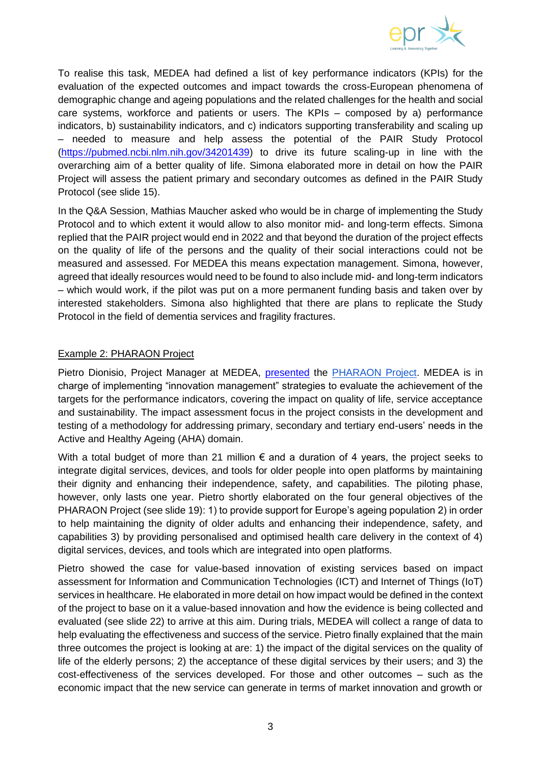

To realise this task, MEDEA had defined a list of key performance indicators (KPIs) for the evaluation of the expected outcomes and impact towards the cross-European phenomena of demographic change and ageing populations and the related challenges for the health and social care systems, workforce and patients or users. The KPIs – composed by a) performance indicators, b) sustainability indicators, and c) indicators supporting transferability and scaling up – needed to measure and help assess the potential of the PAIR Study Protocol [\(https://pubmed.ncbi.nlm.nih.gov/34201439\)](https://pubmed.ncbi.nlm.nih.gov/34201439) to drive its future scaling-up in line with the overarching aim of a better quality of life. Simona elaborated more in detail on how the PAIR Project will assess the patient primary and secondary outcomes as defined in the PAIR Study Protocol (see slide 15).

In the Q&A Session, Mathias Maucher asked who would be in charge of implementing the Study Protocol and to which extent it would allow to also monitor mid- and long-term effects. Simona replied that the PAIR project would end in 2022 and that beyond the duration of the project effects on the quality of life of the persons and the quality of their social interactions could not be measured and assessed. For MEDEA this means expectation management. Simona, however, agreed that ideally resources would need to be found to also include mid- and long-term indicators – which would work, if the pilot was put on a more permanent funding basis and taken over by interested stakeholders. Simona also highlighted that there are plans to replicate the Study Protocol in the field of dementia services and fragility fractures.

## Example 2: PHARAON Project

Pietro Dionisio, Project Manager at MEDEA, [presented](https://www.epr.eu/wp-content/uploads/Webinar-OutcomeImpact-Measurement-ServicesInterventions-16.12.21-Presentations-Medea-SGPD.pdf) the [PHARAON Project.](https://www.pharaon.eu/) MEDEA is in charge of implementing "innovation management" strategies to evaluate the achievement of the targets for the performance indicators, covering the impact on quality of life, service acceptance and sustainability. The impact assessment focus in the project consists in the development and testing of a methodology for addressing primary, secondary and tertiary end-users' needs in the Active and Healthy Ageing (AHA) domain.

With a total budget of more than 21 million  $\epsilon$  and a duration of 4 years, the project seeks to integrate digital services, devices, and tools for older people into open platforms by maintaining their dignity and enhancing their independence, safety, and capabilities. The piloting phase, however, only lasts one year. Pietro shortly elaborated on the four general objectives of the PHARAON Project (see slide 19): 1) to provide support for Europe's ageing population 2) in order to help maintaining the dignity of older adults and enhancing their independence, safety, and capabilities 3) by providing personalised and optimised health care delivery in the context of 4) digital services, devices, and tools which are integrated into open platforms.

Pietro showed the case for value-based innovation of existing services based on impact assessment for Information and Communication Technologies (ICT) and Internet of Things (IoT) services in healthcare. He elaborated in more detail on how impact would be defined in the context of the project to base on it a value-based innovation and how the evidence is being collected and evaluated (see slide 22) to arrive at this aim. During trials, MEDEA will collect a range of data to help evaluating the effectiveness and success of the service. Pietro finally explained that the main three outcomes the project is looking at are: 1) the impact of the digital services on the quality of life of the elderly persons; 2) the acceptance of these digital services by their users; and 3) the cost-effectiveness of the services developed. For those and other outcomes – such as the economic impact that the new service can generate in terms of market innovation and growth or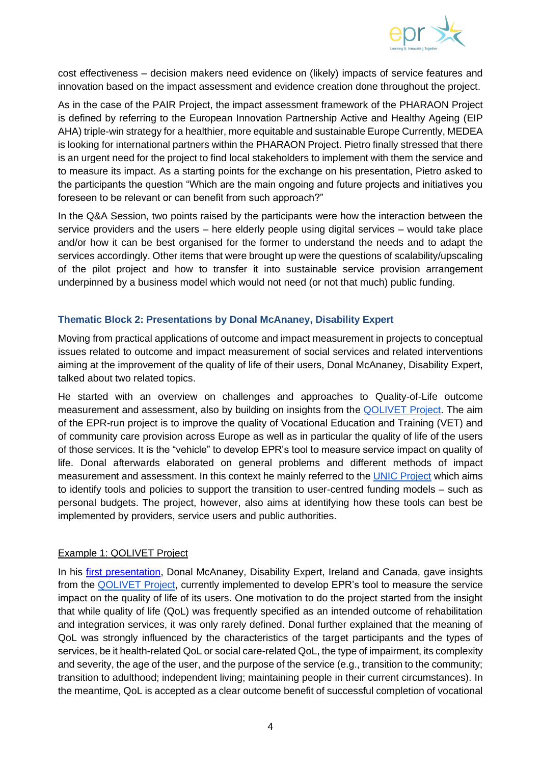

cost effectiveness – decision makers need evidence on (likely) impacts of service features and innovation based on the impact assessment and evidence creation done throughout the project.

As in the case of the PAIR Project, the impact assessment framework of the PHARAON Project is defined by referring to the European Innovation Partnership Active and Healthy Ageing (EIP AHA) triple-win strategy for a healthier, more equitable and sustainable Europe Currently, MEDEA is looking for international partners within the PHARAON Project. Pietro finally stressed that there is an urgent need for the project to find local stakeholders to implement with them the service and to measure its impact. As a starting points for the exchange on his presentation, Pietro asked to the participants the question "Which are the main ongoing and future projects and initiatives you foreseen to be relevant or can benefit from such approach?"

In the Q&A Session, two points raised by the participants were how the interaction between the service providers and the users – here elderly people using digital services – would take place and/or how it can be best organised for the former to understand the needs and to adapt the services accordingly. Other items that were brought up were the questions of scalability/upscaling of the pilot project and how to transfer it into sustainable service provision arrangement underpinned by a business model which would not need (or not that much) public funding.

#### **Thematic Block 2: Presentations by Donal McAnaney, Disability Expert**

Moving from practical applications of outcome and impact measurement in projects to conceptual issues related to outcome and impact measurement of social services and related interventions aiming at the improvement of the quality of life of their users, Donal McAnaney, Disability Expert, talked about two related topics.

He started with an overview on challenges and approaches to Quality-of-Life outcome measurement and assessment, also by building on insights from the [QOLIVET Project.](https://www.epr.eu/qolivet/?page_id=4072) The aim of the EPR-run project is to improve the quality of Vocational Education and Training (VET) and of community care provision across Europe as well as in particular the quality of life of the users of those services. It is the "vehicle" to develop EPR's tool to measure service impact on quality of life. Donal afterwards elaborated on general problems and different methods of impact measurement and assessment. In this context he mainly referred to the [UNIC Project](https://www.easpd.eu/project-detail/unic/) which aims to identify tools and policies to support the transition to user-centred funding models – such as personal budgets. The project, however, also aims at identifying how these tools can best be implemented by providers, service users and public authorities.

#### Example 1: QOLIVET Project

In his first [presentation,](https://www.epr.eu/wp-content/uploads/Webinar-OutcomeImpact-Measurement-ServicesInterventions-16.12.21-Presentation2-DMcA.pdf) Donal McAnaney, Disability Expert, Ireland and Canada, gave insights from the **QOLIVET** Project, currently implemented to develop EPR's tool to measure the service impact on the quality of life of its users. One motivation to do the project started from the insight that while quality of life (QoL) was frequently specified as an intended outcome of rehabilitation and integration services, it was only rarely defined. Donal further explained that the meaning of QoL was strongly influenced by the characteristics of the target participants and the types of services, be it health-related QoL or social care-related QoL, the type of impairment, its complexity and severity, the age of the user, and the purpose of the service (e.g., transition to the community; transition to adulthood; independent living; maintaining people in their current circumstances). In the meantime, QoL is accepted as a clear outcome benefit of successful completion of vocational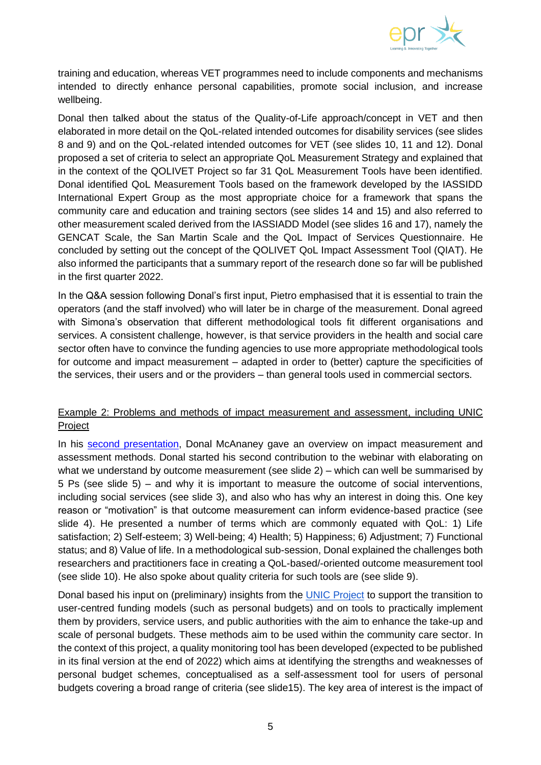

training and education, whereas VET programmes need to include components and mechanisms intended to directly enhance personal capabilities, promote social inclusion, and increase wellbeing.

Donal then talked about the status of the Quality-of-Life approach/concept in VET and then elaborated in more detail on the QoL-related intended outcomes for disability services (see slides 8 and 9) and on the QoL-related intended outcomes for VET (see slides 10, 11 and 12). Donal proposed a set of criteria to select an appropriate QoL Measurement Strategy and explained that in the context of the QOLIVET Project so far 31 QoL Measurement Tools have been identified. Donal identified QoL Measurement Tools based on the framework developed by the IASSIDD International Expert Group as the most appropriate choice for a framework that spans the community care and education and training sectors (see slides 14 and 15) and also referred to other measurement scaled derived from the IASSIADD Model (see slides 16 and 17), namely the GENCAT Scale, the San Martin Scale and the QoL Impact of Services Questionnaire. He concluded by setting out the concept of the QOLIVET QoL Impact Assessment Tool (QIAT). He also informed the participants that a summary report of the research done so far will be published in the first quarter 2022.

In the Q&A session following Donal's first input, Pietro emphasised that it is essential to train the operators (and the staff involved) who will later be in charge of the measurement. Donal agreed with Simona's observation that different methodological tools fit different organisations and services. A consistent challenge, however, is that service providers in the health and social care sector often have to convince the funding agencies to use more appropriate methodological tools for outcome and impact measurement – adapted in order to (better) capture the specificities of the services, their users and or the providers – than general tools used in commercial sectors.

## Example 2: Problems and methods of impact measurement and assessment, including UNIC Project

In his [second presentation,](https://www.epr.eu/wp-content/uploads/Webinar-OutcomeImpact-Measurement-ServicesInterventions-16.12.21-Presentation1-DMcA.pdf) Donal McAnaney gave an overview on impact measurement and assessment methods. Donal started his second contribution to the webinar with elaborating on what we understand by outcome measurement (see slide 2) – which can well be summarised by 5 Ps (see slide 5) – and why it is important to measure the outcome of social interventions, including social services (see slide 3), and also who has why an interest in doing this. One key reason or "motivation" is that outcome measurement can inform evidence-based practice (see slide 4). He presented a number of terms which are commonly equated with QoL: 1) Life satisfaction; 2) Self-esteem; 3) Well-being; 4) Health; 5) Happiness; 6) Adjustment; 7) Functional status; and 8) Value of life. In a methodological sub-session, Donal explained the challenges both researchers and practitioners face in creating a QoL-based/-oriented outcome measurement tool (see slide 10). He also spoke about quality criteria for such tools are (see slide 9).

Donal based his input on (preliminary) insights from the [UNIC Project](https://www.easpd.eu/project-detail/unic/) to support the transition to user-centred funding models (such as personal budgets) and on tools to practically implement them by providers, service users, and public authorities with the aim to enhance the take-up and scale of personal budgets. These methods aim to be used within the community care sector. In the context of this project, a quality monitoring tool has been developed (expected to be published in its final version at the end of 2022) which aims at identifying the strengths and weaknesses of personal budget schemes, conceptualised as a self-assessment tool for users of personal budgets covering a broad range of criteria (see slide15). The key area of interest is the impact of